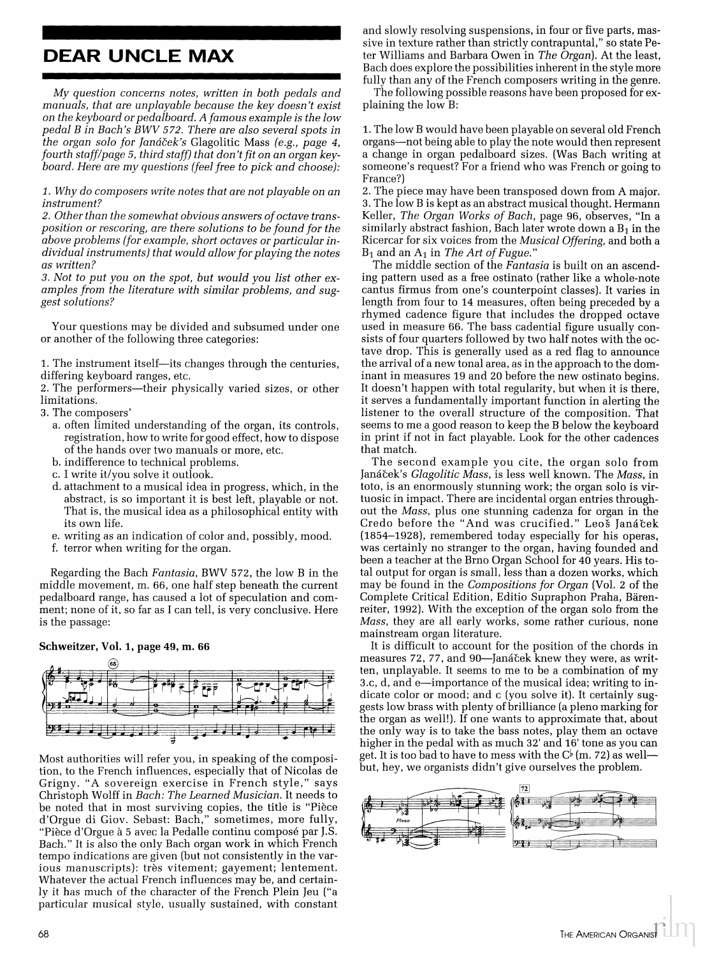## **DEAR UNCLE MAX**

My question concerns notes, written in both pedals and manuals, that are unplayable because the key doesn't exist on the keyboard or pedalboard. A famous example is the low pedal B in Bach's BWV 572. There are also several spots in the organ solo for Janáček's Glagolitic Mass (e.g., page 4, fourth staff/page 5, third staff) that don't fit on an organ keyboard. Here are my questions (feel free to pick and choose):

1. Why do composers write notes that are not playable on an instrument?

2. Other than the somewhat obvious answers of octave transposition or rescoring, are there solutions to be found for the above problems (for example, short octaves or particular individual instruments) that would allow for playing the notes as written?

3. Not to put you on the spot, but would you list other examples from the literature with similar problems, and suggest solutions?

Your questions may be divided and subsumed under one or another of the following three categories:

1. The instrument itself—its changes through the centuries, differing keyboard ranges, etc.

2. The performers—their physically varied sizes, or other limitations.

- 3. The composers'
	- a. often limited understanding of the organ, its controls, registration, how to write for good effect, how to dispose of the hands over two manuals or more, etc.
	- b. indifference to technical problems.
	- c. I write it/you solve it outlook.
	- d. attachment to a musical idea in progress, which, in the abstract, is so important it is best left, playable or not. That is, the musical idea as a philosophical entity with its own life.
	- e. writing as an indication of color and, possibly, mood.
	- f. terror when writing for the organ.

Regarding the Bach Fantasia, BWV 572, the low B in the middle movement, m. 66, one half step beneath the current pedalboard range, has caused a lot of speculation and comment; none of it, so far as I can tell, is very conclusive. Here is the passage:

## Schweitzer, Vol. 1, page 49, m. 66



Most authorities will refer you, in speaking of the composition, to the French influences, especially that of Nicolas de Grigny. "A sovereign exercise in French style," says Christoph Wolff in Bach: The Learned Musician. It needs to be noted that in most surviving copies, the title is "Pièce d'Orgue di Giov. Sebast: Bach," sometimes, more fully, "Pièce d'Orgue à 5 avec la Pedalle continu composé par J.S. Bach." It is also the only Bach organ work in which French tempo indications are given (but not consistently in the various manuscripts): très vitement; gayement; lentement. Whatever the actual French influences may be, and certainly it has much of the character of the French Plein Jeu ("a particular musical style, usually sustained, with constant

and slowly resolving suspensions, in four or five parts, massive in texture rather than strictly contrapuntal," so state Peter Williams and Barbara Owen in The Organ). At the least, Bach does explore the possibilities inherent in the style more fully than any of the French composers writing in the genre.

The following possible reasons have been proposed for explaining the low B:

1. The low B would have been playable on several old French organs-not being able to play the note would then represent a change in organ pedalboard sizes. (Was Bach writing at someone's request? For a friend who was French or going to France?)

2. The piece may have been transposed down from A major. 3. The low B is kept as an abstract musical thought. Hermann Keller, The Organ Works of Bach, page 96, observes, "In a similarly abstract fashion, Bach later wrote down a  $B_1$  in the Ricercar for six voices from the Musical Offering, and both a  $B_1$  and an  $A_1$  in The Art of Fugue."

The middle section of the Fantasia is built on an ascending pattern used as a free ostinato (rather like a whole-note cantus firmus from one's counterpoint classes). It varies in length from four to 14 measures, often being preceded by a rhymed cadence figure that includes the dropped octave used in measure 66. The bass cadential figure usually consists of four quarters followed by two half notes with the octave drop. This is generally used as a red flag to announce the arrival of a new tonal area, as in the approach to the dominant in measures 19 and 20 before the new ostinato begins. It doesn't happen with total regularity, but when it is there, it serves a fundamentally important function in alerting the listener to the overall structure of the composition. That seems to me a good reason to keep the B below the keyboard in print if not in fact playable. Look for the other cadences that match.

The second example you cite, the organ solo from Janáček's Glagolitic Mass, is less well known. The Mass, in toto, is an enormously stunning work; the organ solo is virtuosic in impact. There are incidental organ entries throughout the Mass, plus one stunning cadenza for organ in the Credo before the "And was crucified." Leoš Janáček (1854–1928), remembered today especially for his operas, was certainly no stranger to the organ, having founded and been a teacher at the Brno Organ School for 40 years. His total output for organ is small, less than a dozen works, which may be found in the Compositions for Organ (Vol. 2 of the Complete Critical Edition, Editio Supraphon Praha, Bärenreiter, 1992). With the exception of the organ solo from the Mass, they are all early works, some rather curious, none mainstream organ literature.

It is difficult to account for the position of the chords in measures 72, 77, and 90-Janáček knew they were, as written, unplayable. It seems to me to be a combination of my 3.c, d, and e—importance of the musical idea; writing to indicate color or mood; and c (you solve it). It certainly suggests low brass with plenty of brilliance (a pleno marking for the organ as well!). If one wants to approximate that, about the only way is to take the bass notes, play them an octave higher in the pedal with as much 32' and 16' tone as you can get. It is too bad to have to mess with the  $C^{\flat}$  (m. 72) as well but, hey, we organists didn't give ourselves the problem.

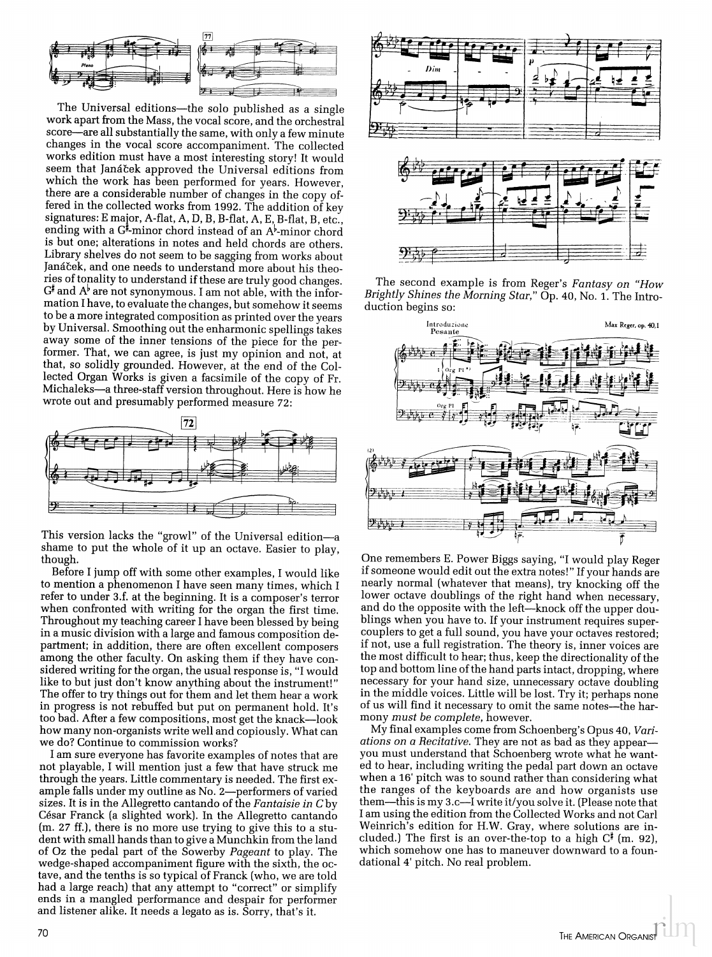

The Universal editions—the solo published as a single work apart from the Mass, the vocal score, and the orchestral score—are all substantially the same, with only a few minute changes in the vocal score accompaniment. The collected works edition must have a most interesting story! It would seem that Janáček approved the Universal editions from which the work has been performed for years. However, there are a considerable number of changes in the copy offered in the collected works from 1992. The addition of key signatures: E major, A-flat, A, D, B, B-flat, A, E, B-flat, B, etc., ending with a G<sup>#</sup>-minor chord instead of an A<sup>b</sup>-minor chord is but one; alterations in notes and held chords are others. Library shelves do not seem to be sagging from works about Janáček, and one needs to understand more about his theories of tonality to understand if these are truly good changes.  $G^*$  and  $A^{\flat}$  are not synonymous. I am not able, with the information I have, to evaluate the changes, but somehow it seems to be a more integrated composition as printed over the years by Universal. Smoothing out the enharmonic spellings takes away some of the inner tensions of the piece for the performer. That, we can agree, is just my opinion and not, at that, so solidly grounded. However, at the end of the Collected Organ Works is given a facsimile of the copy of Fr. Michaleks-a three-staff version throughout. Here is how he wrote out and presumably performed measure 72:



This version lacks the "growl" of the Universal edition—a shame to put the whole of it up an octave. Easier to play, though.

Before I jump off with some other examples, I would like to mention a phenomenon I have seen many times, which I refer to under 3.f. at the beginning. It is a composer's terror when confronted with writing for the organ the first time. Throughout my teaching career I have been blessed by being in a music division with a large and famous composition department; in addition, there are often excellent composers among the other faculty. On asking them if they have considered writing for the organ, the usual response is, "I would like to but just don't know anything about the instrument!" The offer to try things out for them and let them hear a work in progress is not rebuffed but put on permanent hold. It's too bad. After a few compositions, most get the knack-look how many non-organists write well and copiously. What can we do? Continue to commission works?

I am sure everyone has favorite examples of notes that are not playable, I will mention just a few that have struck me through the years. Little commentary is needed. The first example falls under my outline as No. 2-performers of varied sizes. It is in the Allegretto cantando of the Fantaisie in C by César Franck (a slighted work). In the Allegretto cantando (m. 27 ff.), there is no more use trying to give this to a student with small hands than to give a Munchkin from the land of Oz the pedal part of the Sowerby Pageant to play. The wedge-shaped accompaniment figure with the sixth, the octave, and the tenths is so typical of Franck (who, we are told had a large reach) that any attempt to "correct" or simplify ends in a mangled performance and despair for performer and listener alike. It needs a legato as is. Sorry, that's it.



The second example is from Reger's Fantasy on "How Brightly Shines the Morning Star," Op. 40, No. 1. The Introduction begins so:



One remembers E. Power Biggs saying, "I would play Reger if someone would edit out the extra notes!" If your hands are nearly normal (whatever that means), try knocking off the lower octave doublings of the right hand when necessary, and do the opposite with the left-knock off the upper doublings when you have to. If your instrument requires supercouplers to get a full sound, you have your octaves restored; if not, use a full registration. The theory is, inner voices are the most difficult to hear; thus, keep the directionality of the top and bottom line of the hand parts intact, dropping, where necessary for your hand size, unnecessary octave doubling in the middle voices. Little will be lost. Try it; perhaps none of us will find it necessary to omit the same notes-the harmony must be complete, however.

My final examples come from Schoenberg's Opus 40, Variations on a Recitative. They are not as bad as they appearyou must understand that Schoenberg wrote what he wanted to hear, including writing the pedal part down an octave when a 16' pitch was to sound rather than considering what the ranges of the keyboards are and how organists use them—this is my 3.c—I write it/you solve it. (Please note that I am using the edition from the Collected Works and not Carl Weinrich's edition for H.W. Gray, where solutions are included.) The first is an over-the-top to a high  $C^*$  (m. 92), which somehow one has to maneuver downward to a foundational 4' pitch. No real problem.